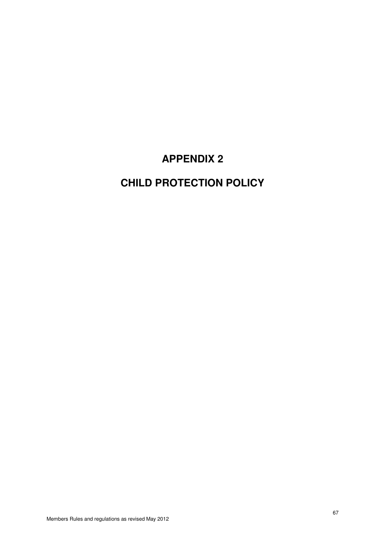# **APPENDIX 2**

# **CHILD PROTECTION POLICY**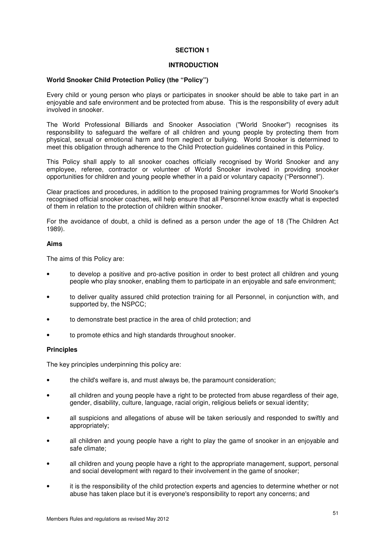## **INTRODUCTION**

## **World Snooker Child Protection Policy (the "Policy")**

Every child or young person who plays or participates in snooker should be able to take part in an enjoyable and safe environment and be protected from abuse. This is the responsibility of every adult involved in snooker.

The World Professional Billiards and Snooker Association ("World Snooker") recognises its responsibility to safeguard the welfare of all children and young people by protecting them from physical, sexual or emotional harm and from neglect or bullying. World Snooker is determined to meet this obligation through adherence to the Child Protection guidelines contained in this Policy.

This Policy shall apply to all snooker coaches officially recognised by World Snooker and any employee, referee, contractor or volunteer of World Snooker involved in providing snooker opportunities for children and young people whether in a paid or voluntary capacity ("Personnel").

Clear practices and procedures, in addition to the proposed training programmes for World Snooker's recognised official snooker coaches, will help ensure that all Personnel know exactly what is expected of them in relation to the protection of children within snooker.

For the avoidance of doubt, a child is defined as a person under the age of 18 (The Children Act 1989).

# **Aims**

The aims of this Policy are:

- to develop a positive and pro-active position in order to best protect all children and young people who play snooker, enabling them to participate in an enjoyable and safe environment;
- to deliver quality assured child protection training for all Personnel, in conjunction with, and supported by, the NSPCC;
- to demonstrate best practice in the area of child protection; and
- to promote ethics and high standards throughout snooker.

#### **Principles**

The key principles underpinning this policy are:

- the child's welfare is, and must always be, the paramount consideration;
- all children and young people have a right to be protected from abuse regardless of their age. gender, disability, culture, language, racial origin, religious beliefs or sexual identity;
- all suspicions and allegations of abuse will be taken seriously and responded to swiftly and appropriately;
- all children and young people have a right to play the game of snooker in an enjoyable and safe climate;
- all children and young people have a right to the appropriate management, support, personal and social development with regard to their involvement in the game of snooker;
- it is the responsibility of the child protection experts and agencies to determine whether or not abuse has taken place but it is everyone's responsibility to report any concerns; and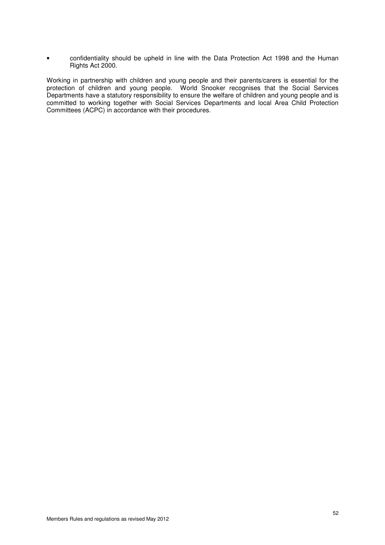• confidentiality should be upheld in line with the Data Protection Act 1998 and the Human Rights Act 2000.

Working in partnership with children and young people and their parents/carers is essential for the protection of children and young people. World Snooker recognises that the Social Services Departments have a statutory responsibility to ensure the welfare of children and young people and is committed to working together with Social Services Departments and local Area Child Protection Committees (ACPC) in accordance with their procedures.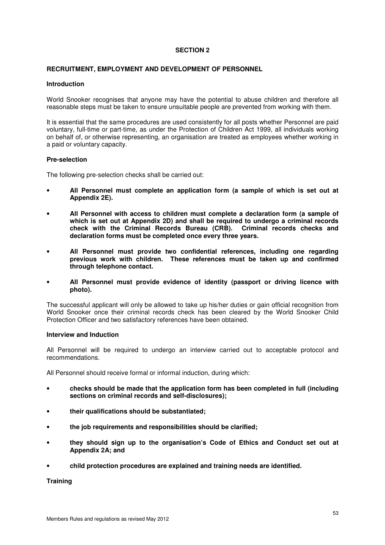## **RECRUITMENT, EMPLOYMENT AND DEVELOPMENT OF PERSONNEL**

#### **Introduction**

World Snooker recognises that anyone may have the potential to abuse children and therefore all reasonable steps must be taken to ensure unsuitable people are prevented from working with them.

It is essential that the same procedures are used consistently for all posts whether Personnel are paid voluntary, full-time or part-time, as under the Protection of Children Act 1999, all individuals working on behalf of, or otherwise representing, an organisation are treated as employees whether working in a paid or voluntary capacity.

## **Pre-selection**

The following pre-selection checks shall be carried out:

- **All Personnel must complete an application form (a sample of which is set out at Appendix 2E).**
- **All Personnel with access to children must complete a declaration form (a sample of which is set out at Appendix 2D) and shall be required to undergo a criminal records check with the Criminal Records Bureau (CRB). Criminal records checks and declaration forms must be completed once every three years.**
- **All Personnel must provide two confidential references, including one regarding previous work with children. These references must be taken up and confirmed through telephone contact.**
- **All Personnel must provide evidence of identity (passport or driving licence with photo).**

The successful applicant will only be allowed to take up his/her duties or gain official recognition from World Snooker once their criminal records check has been cleared by the World Snooker Child Protection Officer and two satisfactory references have been obtained.

#### **Interview and Induction**

All Personnel will be required to undergo an interview carried out to acceptable protocol and recommendations.

All Personnel should receive formal or informal induction, during which:

- **checks should be made that the application form has been completed in full (including sections on criminal records and self-disclosures);**
- **their qualifications should be substantiated;**
- **the job requirements and responsibilities should be clarified;**
- **they should sign up to the organisation's Code of Ethics and Conduct set out at Appendix 2A; and**
- **child protection procedures are explained and training needs are identified.**

#### **Training**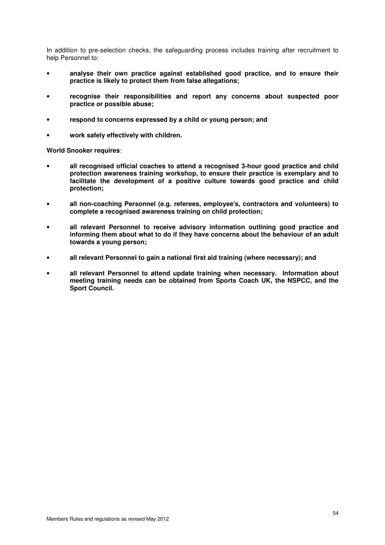In addition to pre-selection checks, the safeguarding process includes training after recruitment to help Personnel to:

- **analyse their own practice against established good practice, and to ensure their practice is likely to protect them from false allegations;**
- **recognise their responsibilities and report any concerns about suspected poor practice or possible abuse;**
- **respond to concerns expressed by a child or young person; and**
- **work safely effectively with children.**

**World Snooker requires**:

- **all recognised official coaches to attend a recognised 3-hour good practice and child protection awareness training workshop, to ensure their practice is exemplary and to facilitate the development of a positive culture towards good practice and child protection;**
- **all non-coaching Personnel (e.g. referees, employee's, contractors and volunteers) to complete a recognised awareness training on child protection;**
- **all relevant Personnel to receive advisory information outlining good practice and informing them about what to do if they have concerns about the behaviour of an adult towards a young person;**
- **all relevant Personnel to gain a national first aid training (where necessary); and**
- **all relevant Personnel to attend update training when necessary. Information about meeting training needs can be obtained from Sports Coach UK, the NSPCC, and the Sport Council.**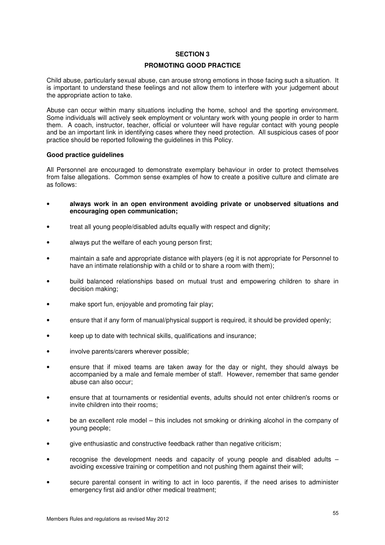### **PROMOTING GOOD PRACTICE**

Child abuse, particularly sexual abuse, can arouse strong emotions in those facing such a situation. It is important to understand these feelings and not allow them to interfere with your judgement about the appropriate action to take.

Abuse can occur within many situations including the home, school and the sporting environment. Some individuals will actively seek employment or voluntary work with young people in order to harm them. A coach, instructor, teacher, official or volunteer will have regular contact with young people and be an important link in identifying cases where they need protection. All suspicious cases of poor practice should be reported following the guidelines in this Policy.

#### **Good practice guidelines**

All Personnel are encouraged to demonstrate exemplary behaviour in order to protect themselves from false allegations. Common sense examples of how to create a positive culture and climate are as follows:

- **always work in an open environment avoiding private or unobserved situations and encouraging open communication;**
- treat all young people/disabled adults equally with respect and dignity;
- always put the welfare of each young person first;
- maintain a safe and appropriate distance with players (eg it is not appropriate for Personnel to have an intimate relationship with a child or to share a room with them);
- build balanced relationships based on mutual trust and empowering children to share in decision making;
- make sport fun, enjoyable and promoting fair play;
- ensure that if any form of manual/physical support is required, it should be provided openly;
- keep up to date with technical skills, qualifications and insurance;
- involve parents/carers wherever possible;
- ensure that if mixed teams are taken away for the day or night, they should always be accompanied by a male and female member of staff. However, remember that same gender abuse can also occur;
- ensure that at tournaments or residential events, adults should not enter children's rooms or invite children into their rooms;
- be an excellent role model this includes not smoking or drinking alcohol in the company of young people;
- give enthusiastic and constructive feedback rather than negative criticism;
- recognise the development needs and capacity of young people and disabled adults  $$ avoiding excessive training or competition and not pushing them against their will;
- secure parental consent in writing to act in loco parentis, if the need arises to administer emergency first aid and/or other medical treatment;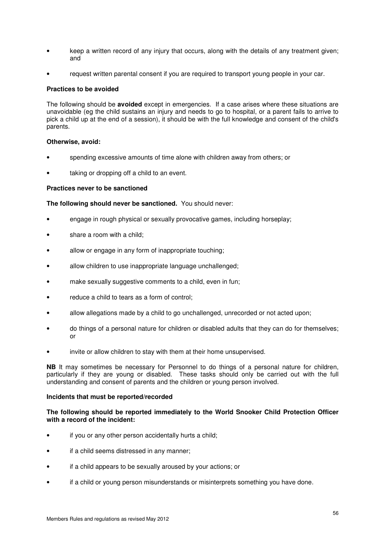- keep a written record of any injury that occurs, along with the details of any treatment given; and
- request written parental consent if you are required to transport young people in your car.

## **Practices to be avoided**

The following should be **avoided** except in emergencies. If a case arises where these situations are unavoidable (eg the child sustains an injury and needs to go to hospital, or a parent fails to arrive to pick a child up at the end of a session), it should be with the full knowledge and consent of the child's parents.

## **Otherwise, avoid:**

- spending excessive amounts of time alone with children away from others; or
- taking or dropping off a child to an event.

## **Practices never to be sanctioned**

**The following should never be sanctioned.** You should never:

- engage in rough physical or sexually provocative games, including horseplay;
- share a room with a child;
- allow or engage in any form of inappropriate touching;
- allow children to use inappropriate language unchallenged;
- make sexually suggestive comments to a child, even in fun;
- reduce a child to tears as a form of control;
- allow allegations made by a child to go unchallenged, unrecorded or not acted upon;
- do things of a personal nature for children or disabled adults that they can do for themselves; or
- invite or allow children to stay with them at their home unsupervised.

**NB** It may sometimes be necessary for Personnel to do things of a personal nature for children, particularly if they are young or disabled. These tasks should only be carried out with the full understanding and consent of parents and the children or young person involved.

#### **Incidents that must be reported/recorded**

## **The following should be reported immediately to the World Snooker Child Protection Officer with a record of the incident:**

- if you or any other person accidentally hurts a child;
- if a child seems distressed in any manner;
- if a child appears to be sexually aroused by your actions; or
- if a child or young person misunderstands or misinterprets something you have done.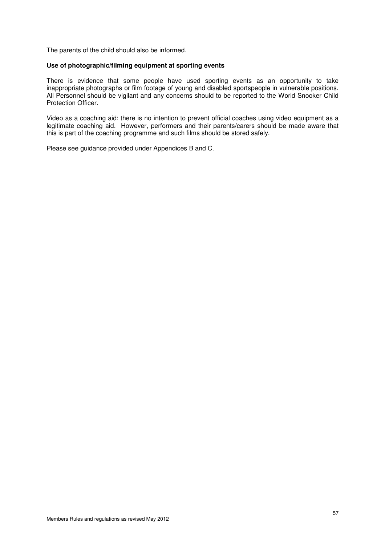The parents of the child should also be informed.

## **Use of photographic/filming equipment at sporting events**

There is evidence that some people have used sporting events as an opportunity to take inappropriate photographs or film footage of young and disabled sportspeople in vulnerable positions. All Personnel should be vigilant and any concerns should to be reported to the World Snooker Child Protection Officer.

Video as a coaching aid: there is no intention to prevent official coaches using video equipment as a legitimate coaching aid. However, performers and their parents/carers should be made aware that this is part of the coaching programme and such films should be stored safely.

Please see guidance provided under Appendices B and C.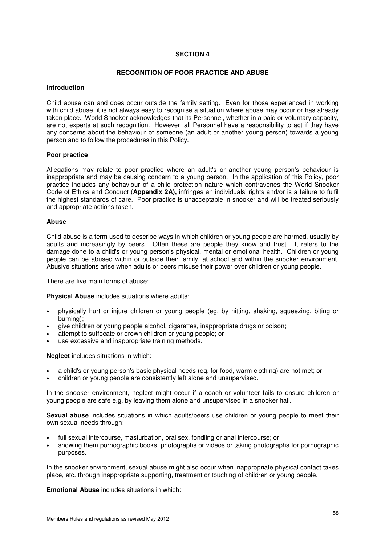## **RECOGNITION OF POOR PRACTICE AND ABUSE**

#### **Introduction**

Child abuse can and does occur outside the family setting. Even for those experienced in working with child abuse, it is not always easy to recognise a situation where abuse may occur or has already taken place. World Snooker acknowledges that its Personnel, whether in a paid or voluntary capacity, are not experts at such recognition. However, all Personnel have a responsibility to act if they have any concerns about the behaviour of someone (an adult or another young person) towards a young person and to follow the procedures in this Policy.

#### **Poor practice**

Allegations may relate to poor practice where an adult's or another young person's behaviour is inappropriate and may be causing concern to a young person. In the application of this Policy, poor practice includes any behaviour of a child protection nature which contravenes the World Snooker Code of Ethics and Conduct (**Appendix 2A),** infringes an individuals' rights and/or is a failure to fulfil the highest standards of care. Poor practice is unacceptable in snooker and will be treated seriously and appropriate actions taken.

#### **Abuse**

Child abuse is a term used to describe ways in which children or young people are harmed, usually by adults and increasingly by peers. Often these are people they know and trust. It refers to the damage done to a child's or young person's physical, mental or emotional health. Children or young people can be abused within or outside their family, at school and within the snooker environment. Abusive situations arise when adults or peers misuse their power over children or young people.

There are five main forms of abuse:

**Physical Abuse** includes situations where adults:

- physically hurt or injure children or young people (eg. by hitting, shaking, squeezing, biting or burning);
- give children or young people alcohol, cigarettes, inappropriate drugs or poison;
- attempt to suffocate or drown children or young people; or
- use excessive and inappropriate training methods.

**Neglect** includes situations in which:

- a child's or young person's basic physical needs (eg. for food, warm clothing) are not met; or
- children or young people are consistently left alone and unsupervised.

In the snooker environment, neglect might occur if a coach or volunteer fails to ensure children or young people are safe e.g. by leaving them alone and unsupervised in a snooker hall.

**Sexual abuse** includes situations in which adults/peers use children or young people to meet their own sexual needs through:

- full sexual intercourse, masturbation, oral sex, fondling or anal intercourse; or
- showing them pornographic books, photographs or videos or taking photographs for pornographic purposes.

In the snooker environment, sexual abuse might also occur when inappropriate physical contact takes place, etc. through inappropriate supporting, treatment or touching of children or young people.

**Emotional Abuse** includes situations in which: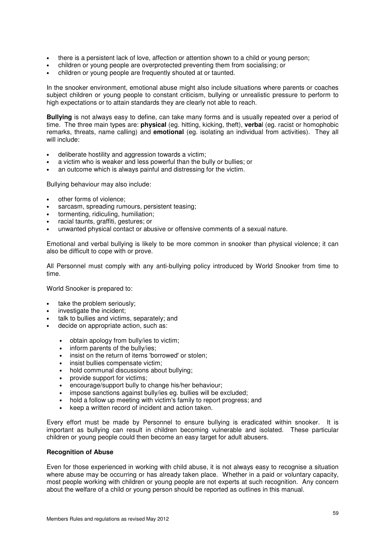- there is a persistent lack of love, affection or attention shown to a child or young person;
- children or young people are overprotected preventing them from socialising; or
- children or young people are frequently shouted at or taunted.

In the snooker environment, emotional abuse might also include situations where parents or coaches subject children or young people to constant criticism, bullying or unrealistic pressure to perform to high expectations or to attain standards they are clearly not able to reach.

**Bullying** is not always easy to define, can take many forms and is usually repeated over a period of time. The three main types are: **physical** (eg. hitting, kicking, theft), **verba**l (eg. racist or homophobic remarks, threats, name calling) and **emotional** (eg. isolating an individual from activities). They all will include:

- deliberate hostility and aggression towards a victim:
- a victim who is weaker and less powerful than the bully or bullies; or
- an outcome which is always painful and distressing for the victim.

Bullying behaviour may also include:

- other forms of violence;
- sarcasm, spreading rumours, persistent teasing;
- tormenting, ridiculing, humiliation;
- racial taunts, graffiti, gestures; or
- unwanted physical contact or abusive or offensive comments of a sexual nature.

Emotional and verbal bullying is likely to be more common in snooker than physical violence; it can also be difficult to cope with or prove.

All Personnel must comply with any anti-bullying policy introduced by World Snooker from time to time.

World Snooker is prepared to:

- take the problem seriously:
- investigate the incident:
- talk to bullies and victims, separately; and
- decide on appropriate action, such as:
	- obtain apology from bully/ies to victim;
	- inform parents of the bully/ies;
	- insist on the return of items 'borrowed' or stolen;
	- insist bullies compensate victim;
	- hold communal discussions about bullying;
	- provide support for victims;
	- encourage/support bully to change his/her behaviour;
	- impose sanctions against bully/ies eg. bullies will be excluded;
	- hold a follow up meeting with victim's family to report progress; and
	- keep a written record of incident and action taken.

Every effort must be made by Personnel to ensure bullying is eradicated within snooker. It is important as bullying can result in children becoming vulnerable and isolated. These particular children or young people could then become an easy target for adult abusers.

#### **Recognition of Abuse**

Even for those experienced in working with child abuse, it is not always easy to recognise a situation where abuse may be occurring or has already taken place. Whether in a paid or voluntary capacity, most people working with children or young people are not experts at such recognition. Any concern about the welfare of a child or young person should be reported as outlines in this manual.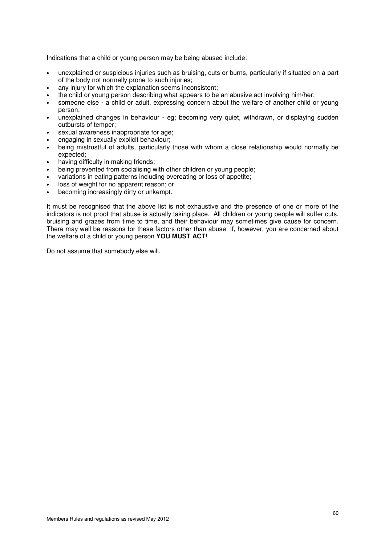Indications that a child or young person may be being abused include:

- unexplained or suspicious injuries such as bruising, cuts or burns, particularly if situated on a part of the body not normally prone to such injuries;
- any injury for which the explanation seems inconsistent;
- the child or young person describing what appears to be an abusive act involving him/her;
- someone else a child or adult, expressing concern about the welfare of another child or young person;
- unexplained changes in behaviour eg; becoming very quiet, withdrawn, or displaying sudden outbursts of temper;
- sexual awareness inappropriate for age;
- engaging in sexually explicit behaviour;
- being mistrustful of adults, particularly those with whom a close relationship would normally be expected;
- having difficulty in making friends:
- being prevented from socialising with other children or young people;
- variations in eating patterns including overeating or loss of appetite;
- loss of weight for no apparent reason; or
- becoming increasingly dirty or unkempt.

It must be recognised that the above list is not exhaustive and the presence of one or more of the indicators is not proof that abuse is actually taking place. All children or young people will suffer cuts, bruising and grazes from time to time, and their behaviour may sometimes give cause for concern. There may well be reasons for these factors other than abuse. If, however, you are concerned about the welfare of a child or young person **YOU MUST ACT**!

Do not assume that somebody else will.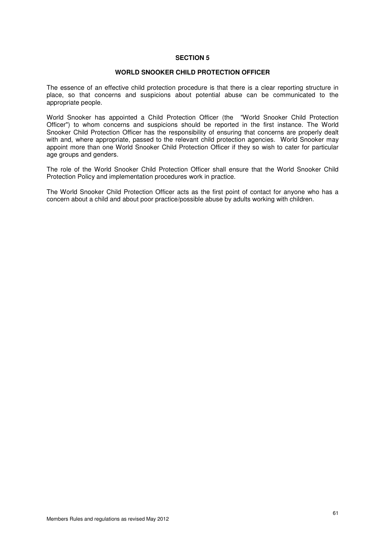#### **WORLD SNOOKER CHILD PROTECTION OFFICER**

The essence of an effective child protection procedure is that there is a clear reporting structure in place, so that concerns and suspicions about potential abuse can be communicated to the appropriate people.

World Snooker has appointed a Child Protection Officer (the "World Snooker Child Protection Officer") to whom concerns and suspicions should be reported in the first instance. The World Snooker Child Protection Officer has the responsibility of ensuring that concerns are properly dealt with and, where appropriate, passed to the relevant child protection agencies. World Snooker may appoint more than one World Snooker Child Protection Officer if they so wish to cater for particular age groups and genders.

The role of the World Snooker Child Protection Officer shall ensure that the World Snooker Child Protection Policy and implementation procedures work in practice.

The World Snooker Child Protection Officer acts as the first point of contact for anyone who has a concern about a child and about poor practice/possible abuse by adults working with children.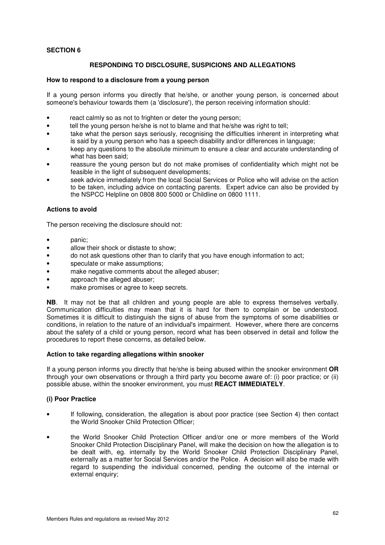# **RESPONDING TO DISCLOSURE, SUSPICIONS AND ALLEGATIONS**

## **How to respond to a disclosure from a young person**

If a young person informs you directly that he/she, or another young person, is concerned about someone's behaviour towards them (a 'disclosure'), the person receiving information should:

- react calmly so as not to frighten or deter the young person:
- tell the young person he/she is not to blame and that he/she was right to tell:
- take what the person says seriously, recognising the difficulties inherent in interpreting what is said by a young person who has a speech disability and/or differences in language;
- keep any questions to the absolute minimum to ensure a clear and accurate understanding of what has been said;
- reassure the young person but do not make promises of confidentiality which might not be feasible in the light of subsequent developments;
- seek advice immediately from the local Social Services or Police who will advise on the action to be taken, including advice on contacting parents. Expert advice can also be provided by the NSPCC Helpline on 0808 800 5000 or Childline on 0800 1111.

## **Actions to avoid**

The person receiving the disclosure should not:

- panic:
- allow their shock or distaste to show;
- do not ask questions other than to clarify that you have enough information to act;
- speculate or make assumptions;
- make negative comments about the alleged abuser;
- approach the alleged abuser;
- make promises or agree to keep secrets.

**NB**. It may not be that all children and young people are able to express themselves verbally. Communication difficulties may mean that it is hard for them to complain or be understood. Sometimes it is difficult to distinguish the signs of abuse from the symptoms of some disabilities or conditions, in relation to the nature of an individual's impairment. However, where there are concerns about the safety of a child or young person, record what has been observed in detail and follow the procedures to report these concerns, as detailed below.

#### **Action to take regarding allegations within snooker**

If a young person informs you directly that he/she is being abused within the snooker environment **OR** through your own observations or through a third party you become aware of: (i) poor practice; or (ii) possible abuse, within the snooker environment, you must **REACT IMMEDIATELY**.

# **(i) Poor Practice**

- If following, consideration, the allegation is about poor practice (see Section 4) then contact the World Snooker Child Protection Officer;
- the World Snooker Child Protection Officer and/or one or more members of the World Snooker Child Protection Disciplinary Panel, will make the decision on how the allegation is to be dealt with, eg. internally by the World Snooker Child Protection Disciplinary Panel, externally as a matter for Social Services and/or the Police. A decision will also be made with regard to suspending the individual concerned, pending the outcome of the internal or external enquiry;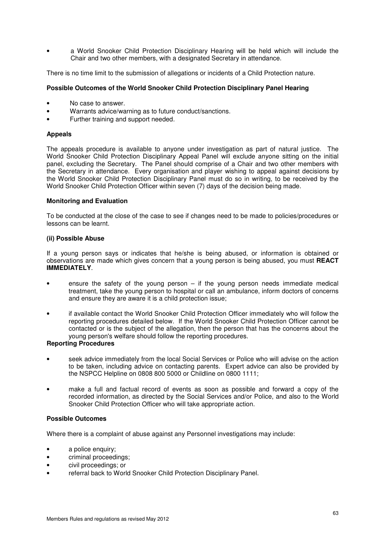• a World Snooker Child Protection Disciplinary Hearing will be held which will include the Chair and two other members, with a designated Secretary in attendance.

There is no time limit to the submission of allegations or incidents of a Child Protection nature.

# **Possible Outcomes of the World Snooker Child Protection Disciplinary Panel Hearing**

- No case to answer.
- Warrants advice/warning as to future conduct/sanctions.
- Further training and support needed.

## **Appeals**

The appeals procedure is available to anyone under investigation as part of natural justice. The World Snooker Child Protection Disciplinary Appeal Panel will exclude anyone sitting on the initial panel, excluding the Secretary. The Panel should comprise of a Chair and two other members with the Secretary in attendance. Every organisation and player wishing to appeal against decisions by the World Snooker Child Protection Disciplinary Panel must do so in writing, to be received by the World Snooker Child Protection Officer within seven (7) days of the decision being made.

## **Monitoring and Evaluation**

To be conducted at the close of the case to see if changes need to be made to policies/procedures or lessons can be learnt.

## **(ii) Possible Abuse**

If a young person says or indicates that he/she is being abused, or information is obtained or observations are made which gives concern that a young person is being abused, you must **REACT IMMEDIATELY**.

- ensure the safety of the young person  $-$  if the young person needs immediate medical treatment, take the young person to hospital or call an ambulance, inform doctors of concerns and ensure they are aware it is a child protection issue;
- if available contact the World Snooker Child Protection Officer immediately who will follow the reporting procedures detailed below. If the World Snooker Child Protection Officer cannot be contacted or is the subject of the allegation, then the person that has the concerns about the young person's welfare should follow the reporting procedures.

# **Reporting Procedures**

- seek advice immediately from the local Social Services or Police who will advise on the action to be taken, including advice on contacting parents. Expert advice can also be provided by the NSPCC Helpline on 0808 800 5000 or Childline on 0800 1111;
- make a full and factual record of events as soon as possible and forward a copy of the recorded information, as directed by the Social Services and/or Police, and also to the World Snooker Child Protection Officer who will take appropriate action.

# **Possible Outcomes**

Where there is a complaint of abuse against any Personnel investigations may include:

- a police enquiry;
- criminal proceedings;
- civil proceedings; or
- referral back to World Snooker Child Protection Disciplinary Panel.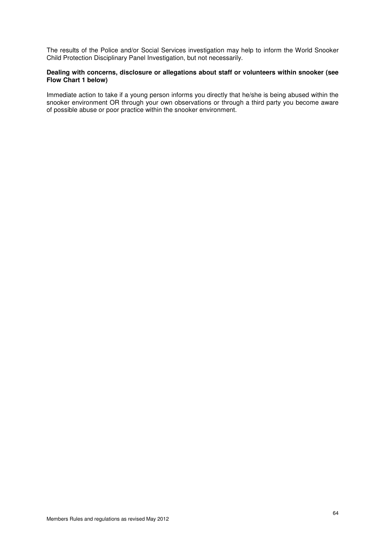The results of the Police and/or Social Services investigation may help to inform the World Snooker Child Protection Disciplinary Panel Investigation, but not necessarily.

## **Dealing with concerns, disclosure or allegations about staff or volunteers within snooker (see Flow Chart 1 below)**

Immediate action to take if a young person informs you directly that he/she is being abused within the snooker environment OR through your own observations or through a third party you become aware of possible abuse or poor practice within the snooker environment.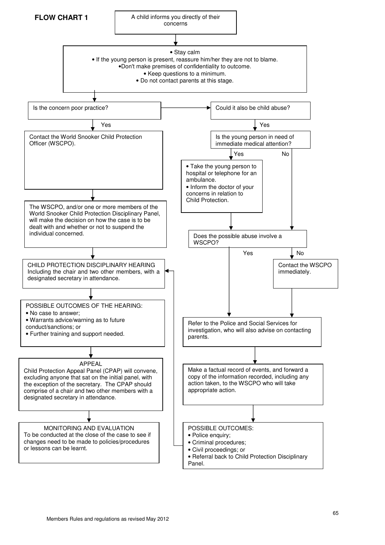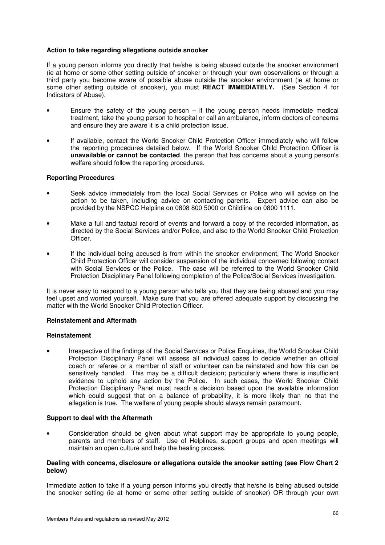## **Action to take regarding allegations outside snooker**

If a young person informs you directly that he/she is being abused outside the snooker environment (ie at home or some other setting outside of snooker or through your own observations or through a third party you become aware of possible abuse outside the snooker environment (ie at home or some other setting outside of snooker), you must **REACT IMMEDIATELY.** (See Section 4 for Indicators of Abuse).

- Ensure the safety of the young person  $-$  if the young person needs immediate medical treatment, take the young person to hospital or call an ambulance, inform doctors of concerns and ensure they are aware it is a child protection issue.
- If available, contact the World Snooker Child Protection Officer immediately who will follow the reporting procedures detailed below. If the World Snooker Child Protection Officer is **unavailable or cannot be contacted**, the person that has concerns about a young person's welfare should follow the reporting procedures.

## **Reporting Procedures**

- Seek advice immediately from the local Social Services or Police who will advise on the action to be taken, including advice on contacting parents. Expert advice can also be provided by the NSPCC Helpline on 0808 800 5000 or Childline on 0800 1111.
- Make a full and factual record of events and forward a copy of the recorded information, as directed by the Social Services and/or Police, and also to the World Snooker Child Protection **Officer**
- If the individual being accused is from within the snooker environment, The World Snooker Child Protection Officer will consider suspension of the individual concerned following contact with Social Services or the Police. The case will be referred to the World Snooker Child Protection Disciplinary Panel following completion of the Police/Social Services investigation.

It is never easy to respond to a young person who tells you that they are being abused and you may feel upset and worried yourself. Make sure that you are offered adequate support by discussing the matter with the World Snooker Child Protection Officer.

#### **Reinstatement and Aftermath**

#### **Reinstatement**

• Irrespective of the findings of the Social Services or Police Enquiries, the World Snooker Child Protection Disciplinary Panel will assess all individual cases to decide whether an official coach or referee or a member of staff or volunteer can be reinstated and how this can be sensitively handled. This may be a difficult decision; particularly where there is insufficient evidence to uphold any action by the Police. In such cases, the World Snooker Child Protection Disciplinary Panel must reach a decision based upon the available information which could suggest that on a balance of probability, it is more likely than no that the allegation is true. The welfare of young people should always remain paramount.

#### **Support to deal with the Aftermath**

• Consideration should be given about what support may be appropriate to young people, parents and members of staff. Use of Helplines, support groups and open meetings will maintain an open culture and help the healing process.

#### **Dealing with concerns, disclosure or allegations outside the snooker setting (see Flow Chart 2 below)**

Immediate action to take if a young person informs you directly that he/she is being abused outside the snooker setting (ie at home or some other setting outside of snooker) OR through your own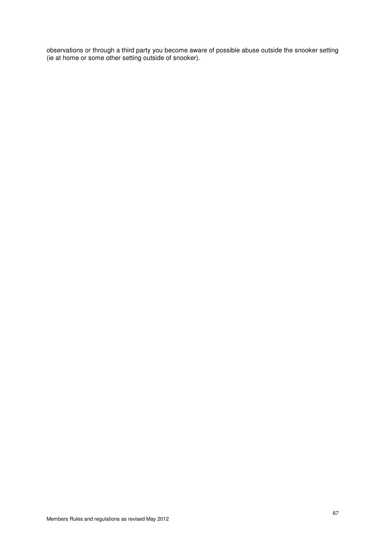observations or through a third party you become aware of possible abuse outside the snooker setting (ie at home or some other setting outside of snooker).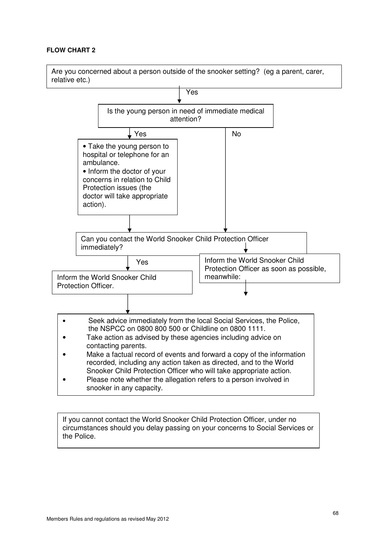# **FLOW CHART 2**



If you cannot contact the World Snooker Child Protection Officer, under no circumstances should you delay passing on your concerns to Social Services or the Police.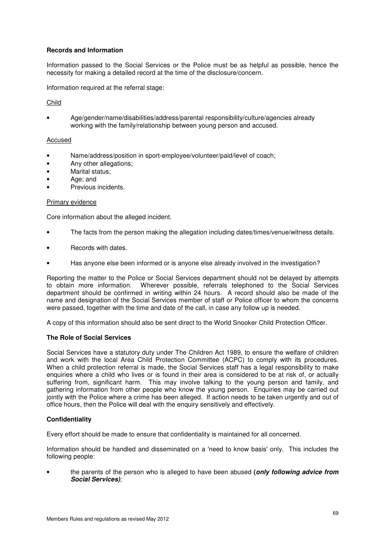# **Records and Information**

Information passed to the Social Services or the Police must be as helpful as possible, hence the necessity for making a detailed record at the time of the disclosure/concern.

Information required at the referral stage:

## Child

• Age/gender/name/disabilities/address/parental responsibility/culture/agencies already working with the family/relationship between young person and accused.

## Accused

- Name/address/position in sport-employee/volunteer/paid/level of coach;
- Any other allegations;
- Marital status;
- Age; and
- Previous incidents.

#### Primary evidence

Core information about the alleged incident.

- The facts from the person making the allegation including dates/times/venue/witness details.
- Records with dates.
- Has anyone else been informed or is anyone else already involved in the investigation?

Reporting the matter to the Police or Social Services department should not be delayed by attempts to obtain more information. Wherever possible, referrals telephoned to the Social Services department should be confirmed in writing within 24 hours. A record should also be made of the name and designation of the Social Services member of staff or Police officer to whom the concerns were passed, together with the time and date of the call, in case any follow up is needed.

A copy of this information should also be sent direct to the World Snooker Child Protection Officer.

#### **The Role of Social Services**

Social Services have a statutory duty under The Children Act 1989, to ensure the welfare of children and work with the local Area Child Protection Committee (ACPC) to comply with its procedures. When a child protection referral is made, the Social Services staff has a legal responsibility to make enquiries where a child who lives or is found in their area is considered to be at risk of, or actually suffering from, significant harm. This may involve talking to the young person and family, and gathering information from other people who know the young person. Enquiries may be carried out jointly with the Police where a crime has been alleged. If action needs to be taken urgently and out of office hours, then the Police will deal with the enquiry sensitively and effectively.

# **Confidentiality**

Every effort should be made to ensure that confidentiality is maintained for all concerned.

Information should be handled and disseminated on a 'need to know basis' only. This includes the following people:

• the parents of the person who is alleged to have been abused **(only following advice from Social Services)**;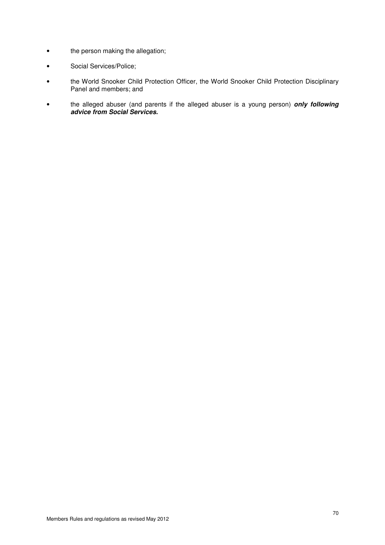- the person making the allegation;
- Social Services/Police;
- the World Snooker Child Protection Officer, the World Snooker Child Protection Disciplinary Panel and members; and
- the alleged abuser (and parents if the alleged abuser is a young person) **only following advice from Social Services.**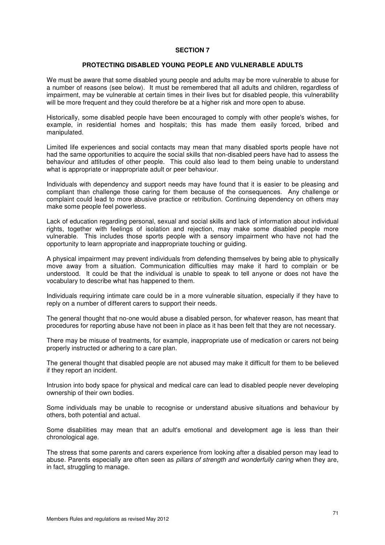### **PROTECTING DISABLED YOUNG PEOPLE AND VULNERABLE ADULTS**

We must be aware that some disabled young people and adults may be more vulnerable to abuse for a number of reasons (see below). It must be remembered that all adults and children, regardless of impairment, may be vulnerable at certain times in their lives but for disabled people, this vulnerability will be more frequent and they could therefore be at a higher risk and more open to abuse.

Historically, some disabled people have been encouraged to comply with other people's wishes, for example, in residential homes and hospitals; this has made them easily forced, bribed and manipulated.

Limited life experiences and social contacts may mean that many disabled sports people have not had the same opportunities to acquire the social skills that non-disabled peers have had to assess the behaviour and attitudes of other people. This could also lead to them being unable to understand what is appropriate or inappropriate adult or peer behaviour.

Individuals with dependency and support needs may have found that it is easier to be pleasing and compliant than challenge those caring for them because of the consequences. Any challenge or complaint could lead to more abusive practice or retribution. Continuing dependency on others may make some people feel powerless.

Lack of education regarding personal, sexual and social skills and lack of information about individual rights, together with feelings of isolation and rejection, may make some disabled people more vulnerable. This includes those sports people with a sensory impairment who have not had the opportunity to learn appropriate and inappropriate touching or guiding.

A physical impairment may prevent individuals from defending themselves by being able to physically move away from a situation. Communication difficulties may make it hard to complain or be understood. It could be that the individual is unable to speak to tell anyone or does not have the vocabulary to describe what has happened to them.

Individuals requiring intimate care could be in a more vulnerable situation, especially if they have to reply on a number of different carers to support their needs.

The general thought that no-one would abuse a disabled person, for whatever reason, has meant that procedures for reporting abuse have not been in place as it has been felt that they are not necessary.

There may be misuse of treatments, for example, inappropriate use of medication or carers not being properly instructed or adhering to a care plan.

The general thought that disabled people are not abused may make it difficult for them to be believed if they report an incident.

Intrusion into body space for physical and medical care can lead to disabled people never developing ownership of their own bodies.

Some individuals may be unable to recognise or understand abusive situations and behaviour by others, both potential and actual.

Some disabilities may mean that an adult's emotional and development age is less than their chronological age.

The stress that some parents and carers experience from looking after a disabled person may lead to abuse. Parents especially are often seen as pillars of strength and wonderfully caring when they are, in fact, struggling to manage.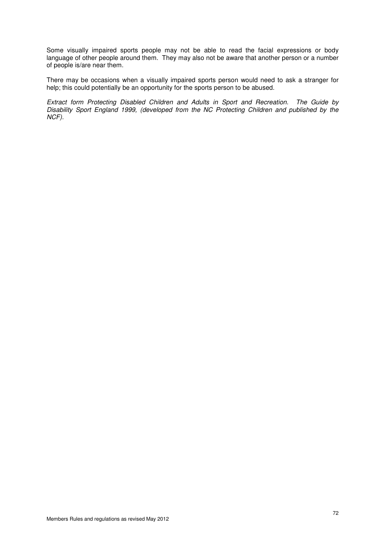Some visually impaired sports people may not be able to read the facial expressions or body language of other people around them. They may also not be aware that another person or a number of people is/are near them.

There may be occasions when a visually impaired sports person would need to ask a stranger for help; this could potentially be an opportunity for the sports person to be abused.

Extract form Protecting Disabled Children and Adults in Sport and Recreation. The Guide by Disability Sport England 1999, (developed from the NC Protecting Children and published by the NCF).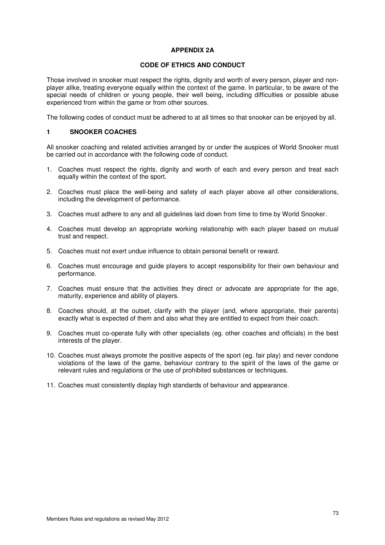# **APPENDIX 2A**

## **CODE OF ETHICS AND CONDUCT**

Those involved in snooker must respect the rights, dignity and worth of every person, player and nonplayer alike, treating everyone equally within the context of the game. In particular, to be aware of the special needs of children or young people, their well being, including difficulties or possible abuse experienced from within the game or from other sources.

The following codes of conduct must be adhered to at all times so that snooker can be enjoyed by all.

## **1 SNOOKER COACHES**

All snooker coaching and related activities arranged by or under the auspices of World Snooker must be carried out in accordance with the following code of conduct.

- 1. Coaches must respect the rights, dignity and worth of each and every person and treat each equally within the context of the sport.
- 2. Coaches must place the well-being and safety of each player above all other considerations, including the development of performance.
- 3. Coaches must adhere to any and all guidelines laid down from time to time by World Snooker.
- 4. Coaches must develop an appropriate working relationship with each player based on mutual trust and respect.
- 5. Coaches must not exert undue influence to obtain personal benefit or reward.
- 6. Coaches must encourage and guide players to accept responsibility for their own behaviour and performance.
- 7. Coaches must ensure that the activities they direct or advocate are appropriate for the age, maturity, experience and ability of players.
- 8. Coaches should, at the outset, clarify with the player (and, where appropriate, their parents) exactly what is expected of them and also what they are entitled to expect from their coach.
- 9. Coaches must co-operate fully with other specialists (eg. other coaches and officials) in the best interests of the player.
- 10. Coaches must always promote the positive aspects of the sport (eg. fair play) and never condone violations of the laws of the game, behaviour contrary to the spirit of the laws of the game or relevant rules and regulations or the use of prohibited substances or techniques.
- 11. Coaches must consistently display high standards of behaviour and appearance.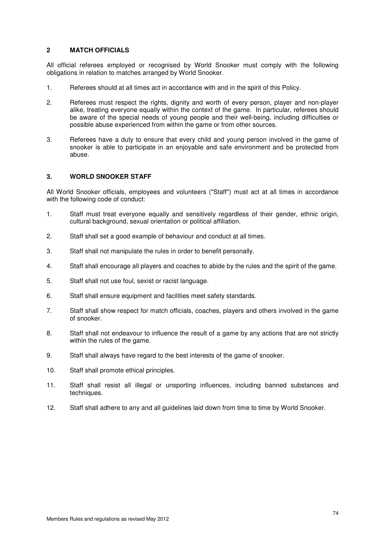# **2 MATCH OFFICIALS**

All official referees employed or recognised by World Snooker must comply with the following obligations in relation to matches arranged by World Snooker.

- 1. Referees should at all times act in accordance with and in the spirit of this Policy.
- 2. Referees must respect the rights, dignity and worth of every person, player and non-player alike, treating everyone equally within the context of the game. In particular, referees should be aware of the special needs of young people and their well-being, including difficulties or possible abuse experienced from within the game or from other sources.
- 3. Referees have a duty to ensure that every child and young person involved in the game of snooker is able to participate in an enjoyable and safe environment and be protected from abuse.

## **3. WORLD SNOOKER STAFF**

All World Snooker officials, employees and volunteers ("Staff") must act at all times in accordance with the following code of conduct:

- 1. Staff must treat everyone equally and sensitively regardless of their gender, ethnic origin, cultural background, sexual orientation or political affiliation.
- 2. Staff shall set a good example of behaviour and conduct at all times.
- 3. Staff shall not manipulate the rules in order to benefit personally.
- 4. Staff shall encourage all players and coaches to abide by the rules and the spirit of the game.
- 5. Staff shall not use foul, sexist or racist language.
- 6. Staff shall ensure equipment and facilities meet safety standards.
- 7. Staff shall show respect for match officials, coaches, players and others involved in the game of snooker.
- 8. Staff shall not endeavour to influence the result of a game by any actions that are not strictly within the rules of the game.
- 9. Staff shall always have regard to the best interests of the game of snooker.
- 10. Staff shall promote ethical principles.
- 11. Staff shall resist all illegal or unsporting influences, including banned substances and techniques.
- 12. Staff shall adhere to any and all guidelines laid down from time to time by World Snooker.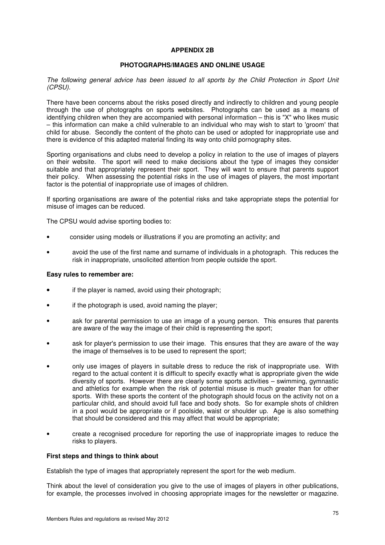## **APPENDIX 2B**

## **PHOTOGRAPHS/IMAGES AND ONLINE USAGE**

The following general advice has been issued to all sports by the Child Protection in Sport Unit (CPSU).

There have been concerns about the risks posed directly and indirectly to children and young people through the use of photographs on sports websites. Photographs can be used as a means of identifying children when they are accompanied with personal information – this is "X" who likes music – this information can make a child vulnerable to an individual who may wish to start to 'groom' that child for abuse. Secondly the content of the photo can be used or adopted for inappropriate use and there is evidence of this adapted material finding its way onto child pornography sites.

Sporting organisations and clubs need to develop a policy in relation to the use of images of players on their website. The sport will need to make decisions about the type of images they consider suitable and that appropriately represent their sport. They will want to ensure that parents support their policy. When assessing the potential risks in the use of images of players, the most important factor is the potential of inappropriate use of images of children.

If sporting organisations are aware of the potential risks and take appropriate steps the potential for misuse of images can be reduced.

The CPSU would advise sporting bodies to:

- consider using models or illustrations if you are promoting an activity; and
- avoid the use of the first name and surname of individuals in a photograph. This reduces the risk in inappropriate, unsolicited attention from people outside the sport.

#### **Easy rules to remember are:**

- if the player is named, avoid using their photograph;
- if the photograph is used, avoid naming the player;
- ask for parental permission to use an image of a young person. This ensures that parents are aware of the way the image of their child is representing the sport;
- ask for player's permission to use their image. This ensures that they are aware of the way the image of themselves is to be used to represent the sport;
- only use images of players in suitable dress to reduce the risk of inappropriate use. With regard to the actual content it is difficult to specify exactly what is appropriate given the wide diversity of sports. However there are clearly some sports activities – swimming, gymnastic and athletics for example when the risk of potential misuse is much greater than for other sports. With these sports the content of the photograph should focus on the activity not on a particular child, and should avoid full face and body shots. So for example shots of children in a pool would be appropriate or if poolside, waist or shoulder up. Age is also something that should be considered and this may affect that would be appropriate;
- create a recognised procedure for reporting the use of inappropriate images to reduce the risks to players.

#### **First steps and things to think about**

Establish the type of images that appropriately represent the sport for the web medium.

Think about the level of consideration you give to the use of images of players in other publications, for example, the processes involved in choosing appropriate images for the newsletter or magazine.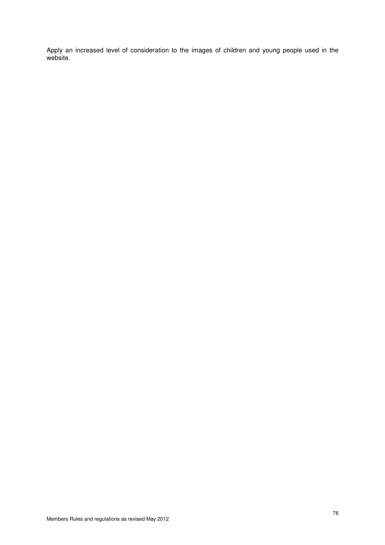Apply an increased level of consideration to the images of children and young people used in the website.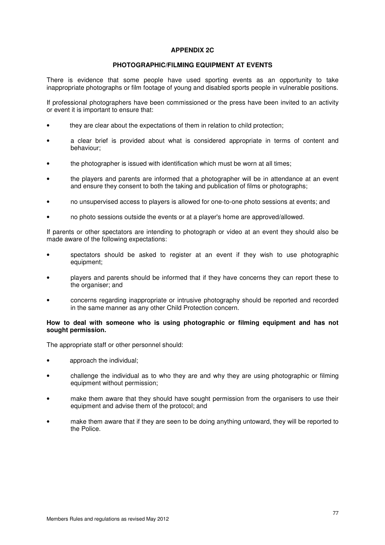# **APPENDIX 2C**

## **PHOTOGRAPHIC/FILMING EQUIPMENT AT EVENTS**

There is evidence that some people have used sporting events as an opportunity to take inappropriate photographs or film footage of young and disabled sports people in vulnerable positions.

If professional photographers have been commissioned or the press have been invited to an activity or event it is important to ensure that:

- they are clear about the expectations of them in relation to child protection;
- a clear brief is provided about what is considered appropriate in terms of content and behaviour;
- the photographer is issued with identification which must be worn at all times;
- the players and parents are informed that a photographer will be in attendance at an event and ensure they consent to both the taking and publication of films or photographs;
- no unsupervised access to players is allowed for one-to-one photo sessions at events; and
- no photo sessions outside the events or at a player's home are approved/allowed.

If parents or other spectators are intending to photograph or video at an event they should also be made aware of the following expectations:

- spectators should be asked to register at an event if they wish to use photographic equipment;
- players and parents should be informed that if they have concerns they can report these to the organiser; and
- concerns regarding inappropriate or intrusive photography should be reported and recorded in the same manner as any other Child Protection concern.

## **How to deal with someone who is using photographic or filming equipment and has not sought permission.**

The appropriate staff or other personnel should:

- approach the individual:
- challenge the individual as to who they are and why they are using photographic or filming equipment without permission;
- make them aware that they should have sought permission from the organisers to use their equipment and advise them of the protocol; and
- make them aware that if they are seen to be doing anything untoward, they will be reported to the Police.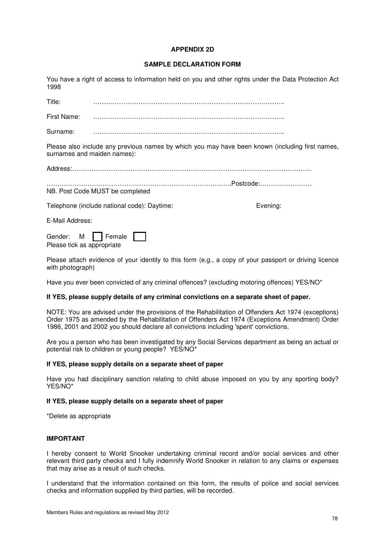## **APPENDIX 2D**

## **SAMPLE DECLARATION FORM**

You have a right of access to information held on you and other rights under the Data Protection Act 1998

Title: ……………………………………………………………………………..

First Name: ……………………………………………………………………………..

Surname: ……………………………………………………………………………..

Please also include any previous names by which you may have been known (including first names, surnames and maiden names):

Address:…………………………………………………………………………………………………

…………………………………………………………………………..Postcode:…………………… NB. Post Code MUST be completed

Telephone (include national code): Daytime: Evening:

E-Mail Address:

Gender: M Female Please tick as appropriate

Please attach evidence of your identity to this form (e.g., a copy of your passport or driving licence with photograph)

Have you ever been convicted of any criminal offences? (excluding motoring offences) YES/NO\*

#### **If YES, please supply details of any criminal convictions on a separate sheet of paper.**

NOTE: You are advised under the provisions of the Rehabilitation of Offenders Act 1974 (exceptions) Order 1975 as amended by the Rehabilitation of Offenders Act 1974 (Exceptions Amendment) Order 1986, 2001 and 2002 you should declare all convictions including 'spent' convictions.

Are you a person who has been investigated by any Social Services department as being an actual or potential risk to children or young people? YES/NO\*

## **If YES, please supply details on a separate sheet of paper**

Have you had disciplinary sanction relating to child abuse imposed on you by any sporting body? YES/NO\*

#### **If YES, please supply details on a separate sheet of paper**

\*Delete as appropriate

## **IMPORTANT**

I hereby consent to World Snooker undertaking criminal record and/or social services and other relevant third party checks and I fully indemnify World Snooker in relation to any claims or expenses that may arise as a result of such checks.

I understand that the information contained on this form, the results of police and social services checks and information supplied by third parties, will be recorded.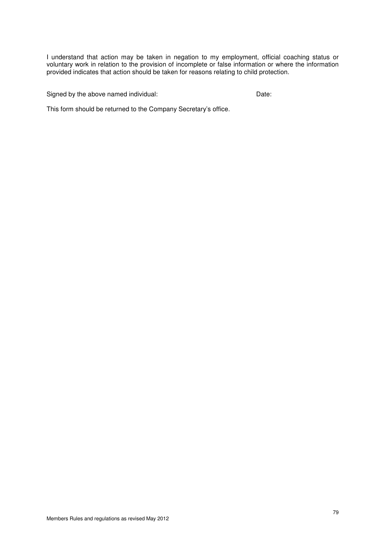I understand that action may be taken in negation to my employment, official coaching status or voluntary work in relation to the provision of incomplete or false information or where the information provided indicates that action should be taken for reasons relating to child protection.

Signed by the above named individual: Date:

This form should be returned to the Company Secretary's office.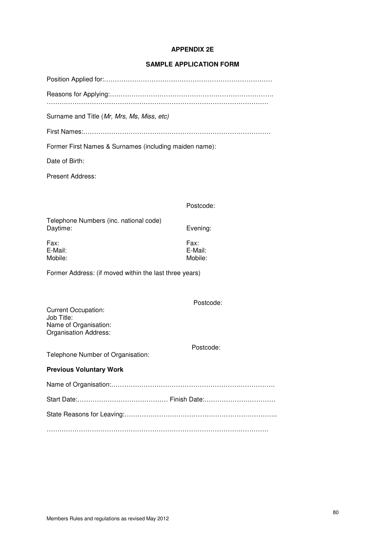## **APPENDIX 2E**

## **SAMPLE APPLICATION FORM**

Position Applied for:……………………………………………………………………

Reasons for Applying:………………………………………………………………….

………………………………………………………………………………………….

Surname and Title (Mr, Mrs, Ms, Miss, etc)

First Names:……………………………………………………………………………

Former First Names & Surnames (including maiden name):

Date of Birth:

Present Address:

| Postcode: |
|-----------|
|-----------|

Telephone Numbers (inc. national code) Daytime: Evening:

Fax: Fax: E-Mail: E-Mail: Mobile: Mobile:

Postcode:

Postcode:

Former Address: (if moved within the last three years)

Current Occupation: Job Title: Name of Organisation: Organisation Address:

Telephone Number of Organisation:

#### **Previous Voluntary Work**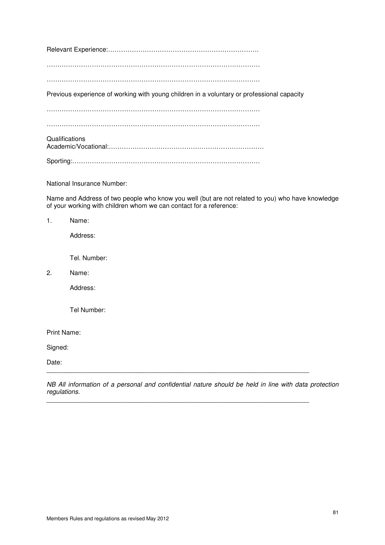Relevant Experience:…………………………………………………………….

………………………………………………………………………………………

………………………………………………………………………………………

Previous experience of working with young children in a voluntary or professional capacity

………………………………………………………………………………………

………………………………………………………………………………………

**Qualifications** Academic/Vocational:………………………………………………………………

Sporting:……………………………………………………………………………

National Insurance Number:

Name and Address of two people who know you well (but are not related to you) who have knowledge of your working with children whom we can contact for a reference:

1. Name:

Address:

Tel. Number:

2. Name:

Address:

Tel Number:

Print Name:

Signed:

Date:

NB All information of a personal and confidential nature should be held in line with data protection regulations.

\_\_\_\_\_\_\_\_\_\_\_\_\_\_\_\_\_\_\_\_\_\_\_\_\_\_\_\_\_\_\_\_\_\_\_\_\_\_\_\_\_\_\_\_\_\_\_\_\_\_\_\_\_\_\_\_\_\_\_\_\_\_\_\_\_\_\_\_\_\_\_\_\_

 $\overline{a}$  , and the contribution of the contribution of the contribution of the contribution of the contribution of  $\overline{a}$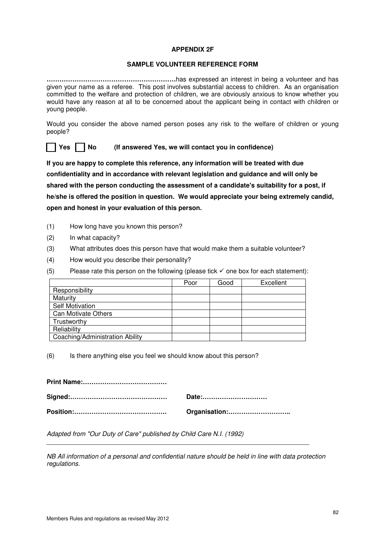# **APPENDIX 2F**

## **SAMPLE VOLUNTEER REFERENCE FORM**

**……………………………………………………**has expressed an interest in being a volunteer and has given your name as a referee. This post involves substantial access to children. As an organisation committed to the welfare and protection of children, we are obviously anxious to know whether you would have any reason at all to be concerned about the applicant being in contact with children or young people.

Would you consider the above named person poses any risk to the welfare of children or young people?

**Yes No (If answered Yes, we will contact you in confidence)**

**If you are happy to complete this reference, any information will be treated with due confidentiality and in accordance with relevant legislation and guidance and will only be shared with the person conducting the assessment of a candidate's suitability for a post, if he/she is offered the position in question. We would appreciate your being extremely candid, open and honest in your evaluation of this person.** 

- (1) How long have you known this person?
- (2) In what capacity?
- (3) What attributes does this person have that would make them a suitable volunteer?
- (4) How would you describe their personality?
- (5) Please rate this person on the following (please tick  $\checkmark$  one box for each statement):

|                                 | Poor | Good | Excellent |
|---------------------------------|------|------|-----------|
| Responsibility                  |      |      |           |
| Maturity                        |      |      |           |
| <b>Self Motivation</b>          |      |      |           |
| Can Motivate Others             |      |      |           |
| Trustworthy                     |      |      |           |
| Reliability                     |      |      |           |
| Coaching/Administration Ability |      |      |           |

(6) Is there anything else you feel we should know about this person?

| Date:         |
|---------------|
| Organisation: |

Adapted from "Our Duty of Care" published by Child Care N.I. (1992)

NB All information of a personal and confidential nature should be held in line with data protection regulations.

\_\_\_\_\_\_\_\_\_\_\_\_\_\_\_\_\_\_\_\_\_\_\_\_\_\_\_\_\_\_\_\_\_\_\_\_\_\_\_\_\_\_\_\_\_\_\_\_\_\_\_\_\_\_\_\_\_\_\_\_\_\_\_\_\_\_\_\_\_\_\_\_\_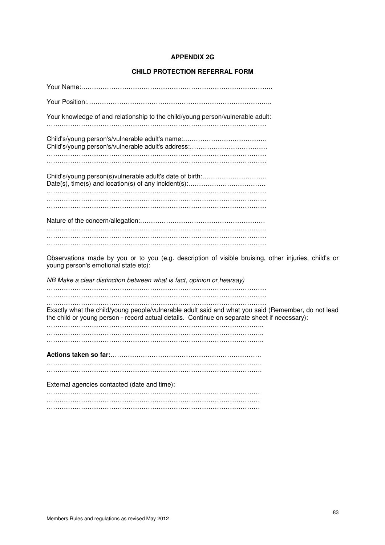# **APPENDIX 2G**

# **CHILD PROTECTION REFERRAL FORM**

| Your knowledge of and relationship to the child/young person/vulnerable adult:                                                                                                                     |
|----------------------------------------------------------------------------------------------------------------------------------------------------------------------------------------------------|
|                                                                                                                                                                                                    |
|                                                                                                                                                                                                    |
|                                                                                                                                                                                                    |
| Child's/young person(s)vulnerable adult's date of birth:                                                                                                                                           |
|                                                                                                                                                                                                    |
|                                                                                                                                                                                                    |
|                                                                                                                                                                                                    |
|                                                                                                                                                                                                    |
|                                                                                                                                                                                                    |
| Observations made by you or to you (e.g. description of visible bruising, other injuries, child's or<br>young person's emotional state etc):                                                       |
| NB Make a clear distinction between what is fact, opinion or hearsay)                                                                                                                              |
|                                                                                                                                                                                                    |
| Exactly what the child/young people/vulnerable adult said and what you said (Remember, do not lead<br>the child or young person - record actual details. Continue on separate sheet if necessary): |
|                                                                                                                                                                                                    |
|                                                                                                                                                                                                    |
|                                                                                                                                                                                                    |
|                                                                                                                                                                                                    |
| External agencies contacted (date and time):                                                                                                                                                       |
|                                                                                                                                                                                                    |
|                                                                                                                                                                                                    |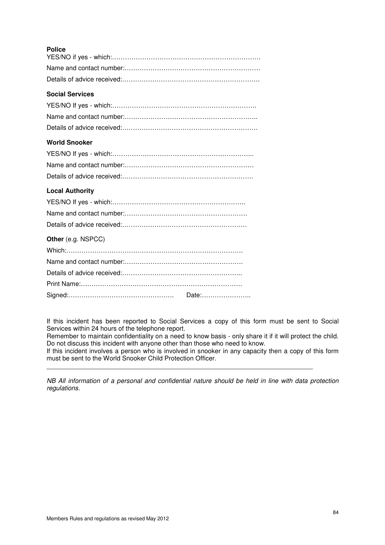| ۰.<br>۰.<br>×<br>۰, |
|---------------------|
|                     |

# **Social Services**

# **World Snooker**

| <b>Local Authority</b> |
|------------------------|
|                        |
|                        |
|                        |
| Other (e.g. NSPCC)     |
|                        |
|                        |
|                        |
|                        |
| Date:                  |

If this incident has been reported to Social Services a copy of this form must be sent to Social Services within 24 hours of the telephone report.

Remember to maintain confidentiality on a need to know basis - only share it if it will protect the child. Do not discuss this incident with anyone other than those who need to know.

If this incident involves a person who is involved in snooker in any capacity then a copy of this form must be sent to the World Snooker Child Protection Officer.

\_\_\_\_\_\_\_\_\_\_\_\_\_\_\_\_\_\_\_\_\_\_\_\_\_\_\_\_\_\_\_\_\_\_\_\_\_\_\_\_\_\_\_\_\_\_\_\_\_\_\_\_\_\_\_\_\_\_\_\_\_\_\_\_\_\_\_\_\_\_\_\_\_\_

NB All information of a personal and confidential nature should be held in line with data protection regulations.